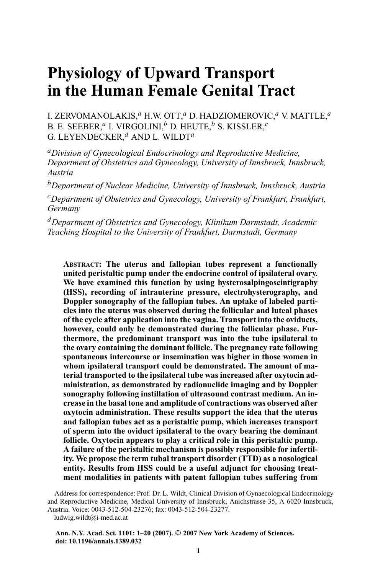# **Physiology of Upward Transport in the Human Female Genital Tract**

I. ZERVOMANOLAKIS,*<sup>a</sup>* H.W. OTT,*<sup>a</sup>* D. HADZIOMEROVIC,*<sup>a</sup>* V. MATTLE,*<sup>a</sup>* B. E. SEEBER,*<sup>a</sup>* I. VIRGOLINI,*<sup>b</sup>* D. HEUTE,*<sup>b</sup>* S. KISSLER,*<sup>c</sup>* G. LEYENDECKER,*<sup>d</sup>* AND L. WILDT*<sup>a</sup>*

*aDivision of Gynecological Endocrinology and Reproductive Medicine, Department of Obstetrics and Gynecology, University of Innsbruck, Innsbruck, Austria*

*bDepartment of Nuclear Medicine, University of Innsbruck, Innsbruck, Austria*

*cDepartment of Obstetrics and Gynecology, University of Frankfurt, Frankfurt, Germany*

*dDepartment of Obstetrics and Gynecology, Klinikum Darmstadt, Academic Teaching Hospital to the University of Frankfurt, Darmstadt, Germany*

**ABSTRACT: The uterus and fallopian tubes represent a functionally united peristaltic pump under the endocrine control of ipsilateral ovary. We have examined this function by using hysterosalpingoscintigraphy (HSS), recording of intrauterine pressure, electrohysterography, and Doppler sonography of the fallopian tubes. An uptake of labeled particles into the uterus was observed during the follicular and luteal phases of the cycle after application into the vagina. Transport into the oviducts, however, could only be demonstrated during the follicular phase. Furthermore, the predominant transport was into the tube ipsilateral to the ovary containing the dominant follicle. The pregnancy rate following spontaneous intercourse or insemination was higher in those women in whom ipsilateral transport could be demonstrated. The amount of material transported to the ipsilateral tube was increased after oxytocin administration, as demonstrated by radionuclide imaging and by Doppler sonography following instillation of ultrasound contrast medium. An increase in the basal tone and amplitude of contractions was observed after oxytocin administration. These results support the idea that the uterus and fallopian tubes act as a peristaltic pump, which increases transport of sperm into the oviduct ipsilateral to the ovary bearing the dominant follicle. Oxytocin appears to play a critical role in this peristaltic pump. A failure of the peristaltic mechanism is possibly responsible for infertility. We propose the term tubal transport disorder (TTD) as a nosological entity. Results from HSS could be a useful adjunct for choosing treatment modalities in patients with patent fallopian tubes suffering from**

Address for correspondence: Prof. Dr. L. Wildt, Clinical Division of Gynaecological Endocrinology and Reproductive Medicine, Medical University of Innsbruck, Anichstrasse 35, A 6020 Innsbruck, Austria. Voice: 0043-512-504-23276; fax: 0043-512-504-23277.

ludwig.wildt@i-med.ac.at

**Ann. N.Y. Acad. Sci. 1101: 1–20 (2007).** *-***<sup>C</sup> 2007 New York Academy of Sciences. doi: 10.1196/annals.1389.032**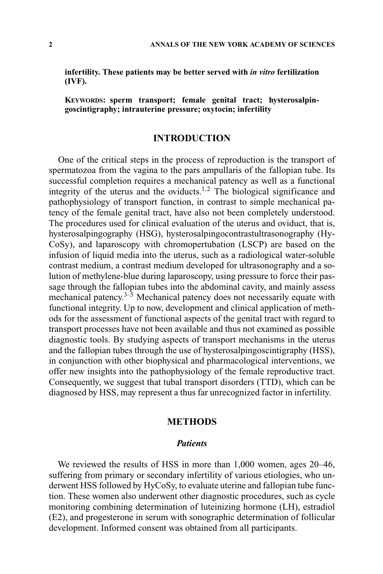**infertility. These patients may be better served with** *in vitro* **fertilization (IVF).**

**KEYWORDS: sperm transport; female genital tract; hysterosalpingoscintigraphy; intrauterine pressure; oxytocin; infertility**

# **INTRODUCTION**

One of the critical steps in the process of reproduction is the transport of spermatozoa from the vagina to the pars ampullaris of the fallopian tube. Its successful completion requires a mechanical patency as well as a functional integrity of the uterus and the oviducts.<sup>1,2</sup> The biological significance and pathophysiology of transport function, in contrast to simple mechanical patency of the female genital tract, have also not been completely understood. The procedures used for clinical evaluation of the uterus and oviduct, that is, hysterosalpingography (HSG), hysterosalpingocontrastultrasonography (Hy-CoSy), and laparoscopy with chromopertubation (LSCP) are based on the infusion of liquid media into the uterus, such as a radiological water-soluble contrast medium, a contrast medium developed for ultrasonography and a solution of methylene-blue during laparoscopy, using pressure to force their passage through the fallopian tubes into the abdominal cavity, and mainly assess mechanical patency.3–5 Mechanical patency does not necessarily equate with functional integrity. Up to now, development and clinical application of methods for the assessment of functional aspects of the genital tract with regard to transport processes have not been available and thus not examined as possible diagnostic tools. By studying aspects of transport mechanisms in the uterus and the fallopian tubes through the use of hysterosalpingoscintigraphy (HSS), in conjunction with other biophysical and pharmacological interventions, we offer new insights into the pathophysiology of the female reproductive tract. Consequently, we suggest that tubal transport disorders (TTD), which can be diagnosed by HSS, may represent a thus far unrecognized factor in infertility.

#### **METHODS**

#### *Patients*

We reviewed the results of HSS in more than 1,000 women, ages 20–46, suffering from primary or secondary infertility of various etiologies, who underwent HSS followed by HyCoSy, to evaluate uterine and fallopian tube function. These women also underwent other diagnostic procedures, such as cycle monitoring combining determination of luteinizing hormone (LH), estradiol (E2), and progesterone in serum with sonographic determination of follicular development. Informed consent was obtained from all participants.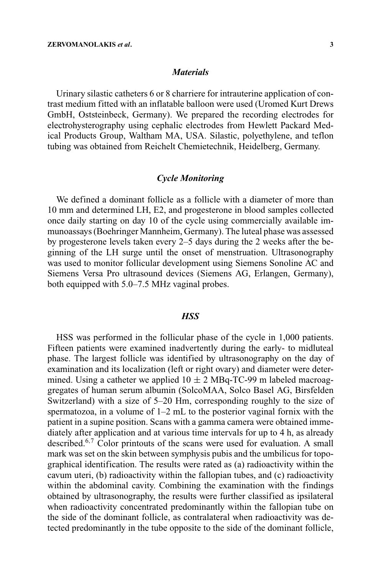## *Materials*

Urinary silastic catheters 6 or 8 charriere for intrauterine application of contrast medium fitted with an inflatable balloon were used (Uromed Kurt Drews GmbH, Oststeinbeck, Germany). We prepared the recording electrodes for electrohysterography using cephalic electrodes from Hewlett Packard Medical Products Group, Waltham MA, USA. Silastic, polyethylene, and teflon tubing was obtained from Reichelt Chemietechnik, Heidelberg, Germany.

#### *Cycle Monitoring*

We defined a dominant follicle as a follicle with a diameter of more than 10 mm and determined LH, E2, and progesterone in blood samples collected once daily starting on day 10 of the cycle using commercially available immunoassays (Boehringer Mannheim, Germany). The luteal phase was assessed by progesterone levels taken every 2–5 days during the 2 weeks after the beginning of the LH surge until the onset of menstruation. Ultrasonography was used to monitor follicular development using Siemens Sonoline AC and Siemens Versa Pro ultrasound devices (Siemens AG, Erlangen, Germany), both equipped with 5.0–7.5 MHz vaginal probes.

#### *HSS*

HSS was performed in the follicular phase of the cycle in 1,000 patients. Fifteen patients were examined inadvertently during the early- to midluteal phase. The largest follicle was identified by ultrasonography on the day of examination and its localization (left or right ovary) and diameter were determined. Using a catheter we applied  $10 \pm 2 \text{ MBq-TC-99}$  m labeled macroaggregates of human serum albumin (SolcoMAA, Solco Basel AG, Birsfelden Switzerland) with a size of 5–20 Hm, corresponding roughly to the size of spermatozoa, in a volume of 1–2 mL to the posterior vaginal fornix with the patient in a supine position. Scans with a gamma camera were obtained immediately after application and at various time intervals for up to 4 h, as already described.<sup>6,7</sup> Color printouts of the scans were used for evaluation. A small mark was set on the skin between symphysis pubis and the umbilicus for topographical identification. The results were rated as (a) radioactivity within the cavum uteri, (b) radioactivity within the fallopian tubes, and (c) radioactivity within the abdominal cavity. Combining the examination with the findings obtained by ultrasonography, the results were further classified as ipsilateral when radioactivity concentrated predominantly within the fallopian tube on the side of the dominant follicle, as contralateral when radioactivity was detected predominantly in the tube opposite to the side of the dominant follicle,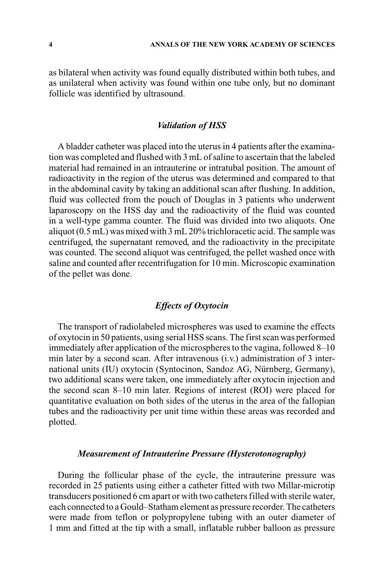as bilateral when activity was found equally distributed within both tubes, and as unilateral when activity was found within one tube only, but no dominant follicle was identified by ultrasound.

# *Validation of HSS*

A bladder catheter was placed into the uterus in 4 patients after the examination was completed and flushed with 3 mL of saline to ascertain that the labeled material had remained in an intrauterine or intratubal position. The amount of radioactivity in the region of the uterus was determined and compared to that in the abdominal cavity by taking an additional scan after flushing. In addition, fluid was collected from the pouch of Douglas in 3 patients who underwent laparoscopy on the HSS day and the radioactivity of the fluid was counted in a well-type gamma counter. The fluid was divided into two aliquots. One aliquot (0.5 mL) was mixed with 3 mL 20% trichloracetic acid. The sample was centrifuged, the supernatant removed, and the radioactivity in the precipitate was counted. The second aliquot was centrifuged, the pellet washed once with saline and counted after recentrifugation for 10 min. Microscopic examination of the pellet was done.

## *Effects of Oxytocin*

The transport of radiolabeled microspheres was used to examine the effects of oxytocin in 50 patients, using serial HSS scans. The first scan was performed immediately after application of the microspheres to the vagina, followed 8–10 min later by a second scan. After intravenous (i.v.) administration of 3 international units (IU) oxytocin (Syntocinon, Sandoz AG, Nürnberg, Germany), two additional scans were taken, one immediately after oxytocin injection and the second scan 8–10 min later. Regions of interest (ROI) were placed for quantitative evaluation on both sides of the uterus in the area of the fallopian tubes and the radioactivity per unit time within these areas was recorded and plotted.

#### *Measurement of Intrauterine Pressure (Hysterotonography)*

During the follicular phase of the cycle, the intrauterine pressure was recorded in 25 patients using either a catheter fitted with two Millar-microtip transducers positioned 6 cm apart or with two catheters filled with sterile water, each connected to a Gould–Statham element as pressure recorder. The catheters were made from teflon or polypropylene tubing with an outer diameter of 1 mm and fitted at the tip with a small, inflatable rubber balloon as pressure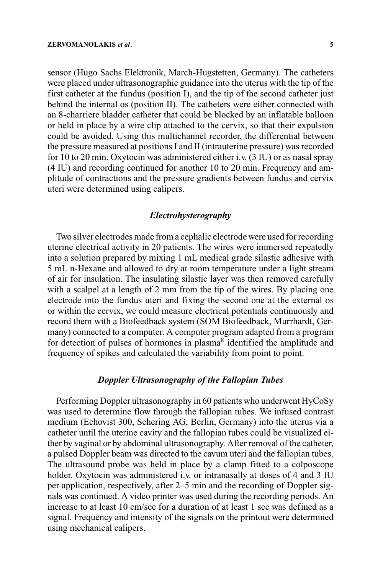sensor (Hugo Sachs Elektronik, March-Hugstetten, Germany). The catheters were placed under ultrasonographic guidance into the uterus with the tip of the

first catheter at the fundus (position I), and the tip of the second catheter just behind the internal os (position II). The catheters were either connected with an 8-charriere bladder catheter that could be blocked by an inflatable balloon or held in place by a wire clip attached to the cervix, so that their expulsion could be avoided. Using this multichannel recorder, the differential between the pressure measured at positions I and II (intrauterine pressure) was recorded for 10 to 20 min. Oxytocin was administered either i.v. (3 IU) or as nasal spray (4 IU) and recording continued for another 10 to 20 min. Frequency and amplitude of contractions and the pressure gradients between fundus and cervix uteri were determined using calipers.

#### *Electrohysterography*

Two silver electrodes made from a cephalic electrode were used for recording uterine electrical activity in 20 patients. The wires were immersed repeatedly into a solution prepared by mixing 1 mL medical grade silastic adhesive with 5 mL n-Hexane and allowed to dry at room temperature under a light stream of air for insulation. The insulating silastic layer was then removed carefully with a scalpel at a length of 2 mm from the tip of the wires. By placing one electrode into the fundus uteri and fixing the second one at the external os or within the cervix, we could measure electrical potentials continuously and record them with a Biofeedback system (SOM Biofeedback, Murrhardt, Germany) connected to a computer. A computer program adapted from a program for detection of pulses of hormones in plasma<sup>8</sup> identified the amplitude and frequency of spikes and calculated the variability from point to point.

# *Doppler Ultrasonography of the Fallopian Tubes*

Performing Doppler ultrasonography in 60 patients who underwent HyCoSy was used to determine flow through the fallopian tubes. We infused contrast medium (Echovist 300, Schering AG, Berlin, Germany) into the uterus via a catheter until the uterine cavity and the fallopian tubes could be visualized either by vaginal or by abdominal ultrasonography. After removal of the catheter, a pulsed Doppler beam was directed to the cavum uteri and the fallopian tubes. The ultrasound probe was held in place by a clamp fitted to a colposcope holder. Oxytocin was administered i.v. or intranasally at doses of 4 and 3 IU per application, respectively, after 2–5 min and the recording of Doppler signals was continued. A video printer was used during the recording periods. An increase to at least 10 cm/sec for a duration of at least 1 sec was defined as a signal. Frequency and intensity of the signals on the printout were determined using mechanical calipers.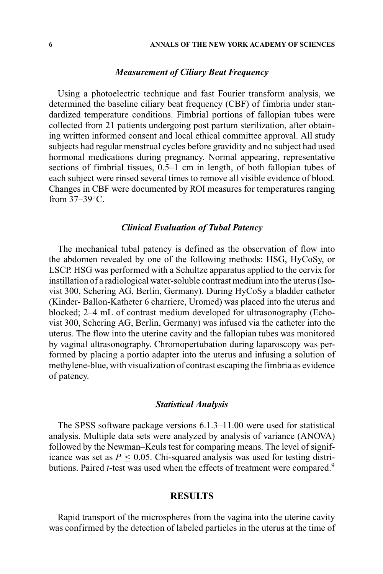#### **6 ANNALS OF THE NEW YORK ACADEMY OF SCIENCES**

# *Measurement of Ciliary Beat Frequency*

Using a photoelectric technique and fast Fourier transform analysis, we determined the baseline ciliary beat frequency (CBF) of fimbria under standardized temperature conditions. Fimbrial portions of fallopian tubes were collected from 21 patients undergoing post partum sterilization, after obtaining written informed consent and local ethical committee approval. All study subjects had regular menstrual cycles before gravidity and no subject had used hormonal medications during pregnancy. Normal appearing, representative sections of fimbrial tissues, 0.5–1 cm in length, of both fallopian tubes of each subject were rinsed several times to remove all visible evidence of blood. Changes in CBF were documented by ROI measures for temperatures ranging from 37–39◦C.

#### *Clinical Evaluation of Tubal Patency*

The mechanical tubal patency is defined as the observation of flow into the abdomen revealed by one of the following methods: HSG, HyCoSy, or LSCP. HSG was performed with a Schultze apparatus applied to the cervix for instillation of a radiological water-soluble contrast medium into the uterus (Isovist 300, Schering AG, Berlin, Germany). During HyCoSy a bladder catheter (Kinder- Ballon-Katheter 6 charriere, Uromed) was placed into the uterus and blocked; 2–4 mL of contrast medium developed for ultrasonography (Echovist 300, Schering AG, Berlin, Germany) was infused via the catheter into the uterus. The flow into the uterine cavity and the fallopian tubes was monitored by vaginal ultrasonography. Chromopertubation during laparoscopy was performed by placing a portio adapter into the uterus and infusing a solution of methylene-blue, with visualization of contrast escaping the fimbria as evidence of patency.

#### *Statistical Analysis*

The SPSS software package versions 6.1.3–11.00 were used for statistical analysis. Multiple data sets were analyzed by analysis of variance (ANOVA) followed by the Newman–Keuls test for comparing means. The level of significance was set as  $P < 0.05$ . Chi-squared analysis was used for testing distributions. Paired *t*-test was used when the effects of treatment were compared.<sup>9</sup>

# **RESULTS**

Rapid transport of the microspheres from the vagina into the uterine cavity was confirmed by the detection of labeled particles in the uterus at the time of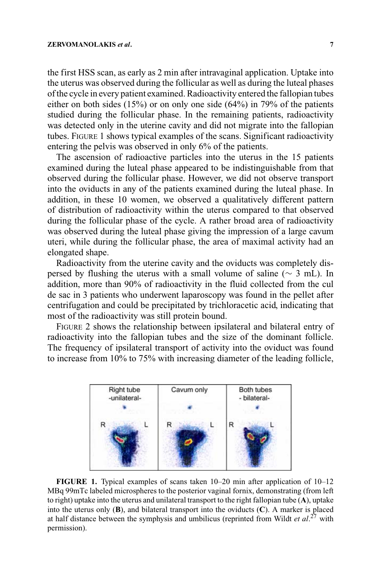the first HSS scan, as early as 2 min after intravaginal application. Uptake into the uterus was observed during the follicular as well as during the luteal phases of the cycle in every patient examined. Radioactivity entered the fallopian tubes either on both sides (15%) or on only one side (64%) in 79% of the patients studied during the follicular phase. In the remaining patients, radioactivity was detected only in the uterine cavity and did not migrate into the fallopian tubes. FIGURE 1 shows typical examples of the scans. Significant radioactivity entering the pelvis was observed in only 6% of the patients.

The ascension of radioactive particles into the uterus in the 15 patients examined during the luteal phase appeared to be indistinguishable from that observed during the follicular phase. However, we did not observe transport into the oviducts in any of the patients examined during the luteal phase. In addition, in these 10 women, we observed a qualitatively different pattern of distribution of radioactivity within the uterus compared to that observed during the follicular phase of the cycle. A rather broad area of radioactivity was observed during the luteal phase giving the impression of a large cavum uteri, while during the follicular phase, the area of maximal activity had an elongated shape.

Radioactivity from the uterine cavity and the oviducts was completely dispersed by flushing the uterus with a small volume of saline ( $\sim$  3 mL). In addition, more than 90% of radioactivity in the fluid collected from the cul de sac in 3 patients who underwent laparoscopy was found in the pellet after centrifugation and could be precipitated by trichloracetic acid, indicating that most of the radioactivity was still protein bound.

FIGURE 2 shows the relationship between ipsilateral and bilateral entry of radioactivity into the fallopian tubes and the size of the dominant follicle. The frequency of ipsilateral transport of activity into the oviduct was found to increase from 10% to 75% with increasing diameter of the leading follicle,



**FIGURE 1.** Typical examples of scans taken 10–20 min after application of 10–12 MBq 99mTc labeled microspheres to the posterior vaginal fornix, demonstrating (from left to right) uptake into the uterus and unilateral transport to the right fallopian tube (**A**), uptake into the uterus only (**B**), and bilateral transport into the oviducts (**C**). A marker is placed at half distance between the symphysis and umbilicus (reprinted from Wildt *et al*. <sup>27</sup> with permission).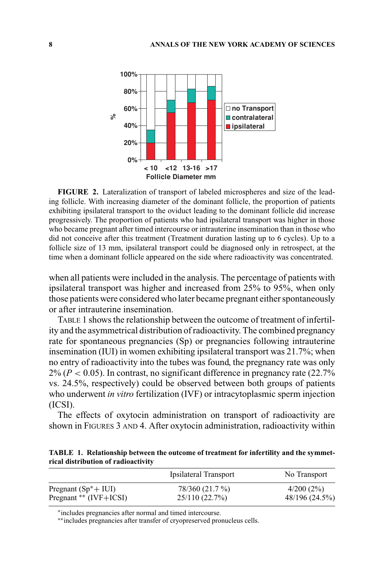

**FIGURE 2.** Lateralization of transport of labeled microspheres and size of the leading follicle. With increasing diameter of the dominant follicle, the proportion of patients exhibiting ipsilateral transport to the oviduct leading to the dominant follicle did increase progressively. The proportion of patients who had ipsilateral transport was higher in those who became pregnant after timed intercourse or intrauterine insemination than in those who did not conceive after this treatment (Treatment duration lasting up to 6 cycles). Up to a follicle size of 13 mm, ipsilateral transport could be diagnosed only in retrospect, at the time when a dominant follicle appeared on the side where radioactivity was concentrated.

when all patients were included in the analysis. The percentage of patients with ipsilateral transport was higher and increased from 25% to 95%, when only those patients were considered who later became pregnant either spontaneously or after intrauterine insemination.

TABLE 1 shows the relationship between the outcome of treatment of infertility and the asymmetrical distribution of radioactivity. The combined pregnancy rate for spontaneous pregnancies (Sp) or pregnancies following intrauterine insemination (IUI) in women exhibiting ipsilateral transport was 21.7%; when no entry of radioactivity into the tubes was found, the pregnancy rate was only  $2\% (P < 0.05)$ . In contrast, no significant difference in pregnancy rate (22.7%) vs. 24.5%, respectively) could be observed between both groups of patients who underwent *in vitro* fertilization (IVF) or intracytoplasmic sperm injection (ICSI).

The effects of oxytocin administration on transport of radioactivity are shown in FIGURES 3 AND 4. After oxytocin administration, radioactivity within

**TABLE 1. Relationship between the outcome of treatment for infertility and the symmetrical distribution of radioactivity**

|                          | Ipsilateral Transport | No Transport   |
|--------------------------|-----------------------|----------------|
| Pregnant $(Sp^* + IUI)$  | 78/360 (21.7 %)       | 4/200(2%)      |
| Pregnant ** $(IVF+ICSI)$ | 25/110(22.7%)         | 48/196 (24.5%) |

∗includes pregnancies after normal and timed intercourse.

∗∗includes pregnancies after transfer of cryopreserved pronucleus cells.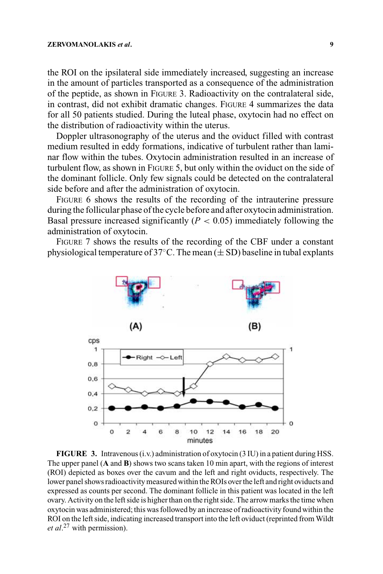the ROI on the ipsilateral side immediately increased, suggesting an increase in the amount of particles transported as a consequence of the administration of the peptide, as shown in FIGURE 3. Radioactivity on the contralateral side, in contrast, did not exhibit dramatic changes. FIGURE 4 summarizes the data for all 50 patients studied. During the luteal phase, oxytocin had no effect on the distribution of radioactivity within the uterus.

Doppler ultrasonography of the uterus and the oviduct filled with contrast medium resulted in eddy formations, indicative of turbulent rather than laminar flow within the tubes. Oxytocin administration resulted in an increase of turbulent flow, as shown in FIGURE 5, but only within the oviduct on the side of the dominant follicle. Only few signals could be detected on the contralateral side before and after the administration of oxytocin.

FIGURE 6 shows the results of the recording of the intrauterine pressure during the follicular phase of the cycle before and after oxytocin administration. Basal pressure increased significantly  $(P < 0.05)$  immediately following the administration of oxytocin.

FIGURE 7 shows the results of the recording of the CBF under a constant physiological temperature of 37 $\degree$ C. The mean ( $\pm$  SD) baseline in tubal explants



**FIGURE 3.** Intravenous (i.v.) administration of oxytocin (3 IU) in a patient during HSS. The upper panel (**A** and **B**) shows two scans taken 10 min apart, with the regions of interest (ROI) depicted as boxes over the cavum and the left and right oviducts, respectively. The lower panel shows radioactivity measured within the ROIs over the left and right oviducts and expressed as counts per second. The dominant follicle in this patient was located in the left ovary. Activity on the left side is higher than on the right side. The arrow marks the time when oxytocin was administered; this was followed by an increase of radioactivity found within the ROI on the left side, indicating increased transport into the left oviduct (reprinted from Wildt *et al*. <sup>27</sup> with permission).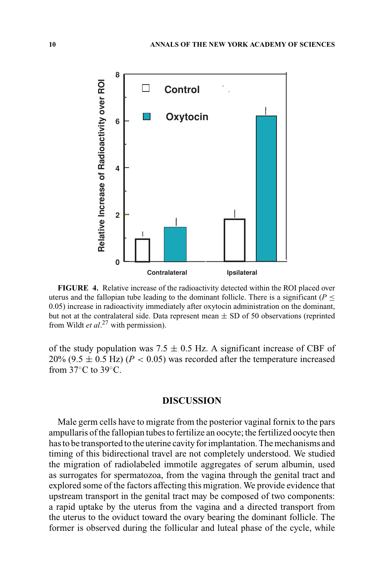

**FIGURE 4.** Relative increase of the radioactivity detected within the ROI placed over uterus and the fallopian tube leading to the dominant follicle. There is a significant  $(P \leq$ 0.05) increase in radioactivity immediately after oxytocin administration on the dominant, but not at the contralateral side. Data represent mean  $\pm$  SD of 50 observations (reprinted from Wildt *et al*. <sup>27</sup> with permission).

of the study population was 7.5  $\pm$  0.5 Hz. A significant increase of CBF of  $20\%$  (9.5  $\pm$  0.5 Hz) ( $P < 0.05$ ) was recorded after the temperature increased from  $37^\circ$ C to  $39^\circ$ C.

## **DISCUSSION**

Male germ cells have to migrate from the posterior vaginal fornix to the pars ampullaris of the fallopian tubes to fertilize an oocyte; the fertilized oocyte then has to be transported to the uterine cavity for implantation. The mechanisms and timing of this bidirectional travel are not completely understood. We studied the migration of radiolabeled immotile aggregates of serum albumin, used as surrogates for spermatozoa, from the vagina through the genital tract and explored some of the factors affecting this migration. We provide evidence that upstream transport in the genital tract may be composed of two components: a rapid uptake by the uterus from the vagina and a directed transport from the uterus to the oviduct toward the ovary bearing the dominant follicle. The former is observed during the follicular and luteal phase of the cycle, while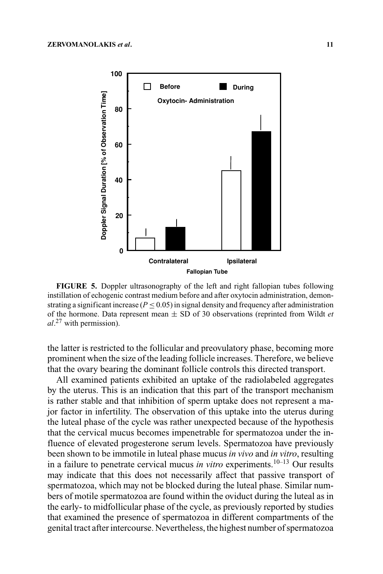

**FIGURE 5.** Doppler ultrasonography of the left and right fallopian tubes following instillation of echogenic contrast medium before and after oxytocin administration, demonstrating a significant increase ( $P \le 0.05$ ) in signal density and frequency after administration of the hormone. Data represent mean ± SD of 30 observations (reprinted from Wildt *et al*. <sup>27</sup> with permission).

the latter is restricted to the follicular and preovulatory phase, becoming more prominent when the size of the leading follicle increases. Therefore, we believe that the ovary bearing the dominant follicle controls this directed transport.

All examined patients exhibited an uptake of the radiolabeled aggregates by the uterus. This is an indication that this part of the transport mechanism is rather stable and that inhibition of sperm uptake does not represent a major factor in infertility. The observation of this uptake into the uterus during the luteal phase of the cycle was rather unexpected because of the hypothesis that the cervical mucus becomes impenetrable for spermatozoa under the influence of elevated progesterone serum levels. Spermatozoa have previously been shown to be immotile in luteal phase mucus *in vivo* and *in vitro*, resulting in a failure to penetrate cervical mucus *in vitro* experiments.<sup>10–13</sup> Our results may indicate that this does not necessarily affect that passive transport of spermatozoa, which may not be blocked during the luteal phase. Similar numbers of motile spermatozoa are found within the oviduct during the luteal as in the early- to midfollicular phase of the cycle, as previously reported by studies that examined the presence of spermatozoa in different compartments of the genital tract after intercourse. Nevertheless, the highest number of spermatozoa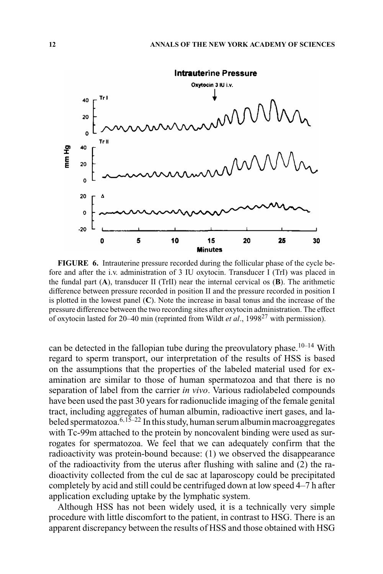

**FIGURE 6.** Intrauterine pressure recorded during the follicular phase of the cycle before and after the i.v. administration of 3 IU oxytocin. Transducer I (TrI) was placed in the fundal part (**A**), transducer II (TrII) near the internal cervical os (**B**). The arithmetic difference between pressure recorded in position II and the pressure recorded in position I is plotted in the lowest panel (**C**). Note the increase in basal tonus and the increase of the pressure difference between the two recording sites after oxytocin administration. The effect of oxytocin lasted for 20–40 min (reprinted from Wildt *et al*., 199827 with permission).

can be detected in the fallopian tube during the preovulatory phase.<sup>10–14</sup> With regard to sperm transport, our interpretation of the results of HSS is based on the assumptions that the properties of the labeled material used for examination are similar to those of human spermatozoa and that there is no separation of label from the carrier *in vivo*. Various radiolabeled compounds have been used the past 30 years for radionuclide imaging of the female genital tract, including aggregates of human albumin, radioactive inert gases, and labeled spermatozoa.  $6,15-22$  In this study, human serum albumin macroaggregates with Tc-99m attached to the protein by noncovalent binding were used as surrogates for spermatozoa. We feel that we can adequately confirm that the radioactivity was protein-bound because: (1) we observed the disappearance of the radioactivity from the uterus after flushing with saline and (2) the radioactivity collected from the cul de sac at laparoscopy could be precipitated completely by acid and still could be centrifuged down at low speed 4–7 h after application excluding uptake by the lymphatic system.

Although HSS has not been widely used, it is a technically very simple procedure with little discomfort to the patient, in contrast to HSG. There is an apparent discrepancy between the results of HSS and those obtained with HSG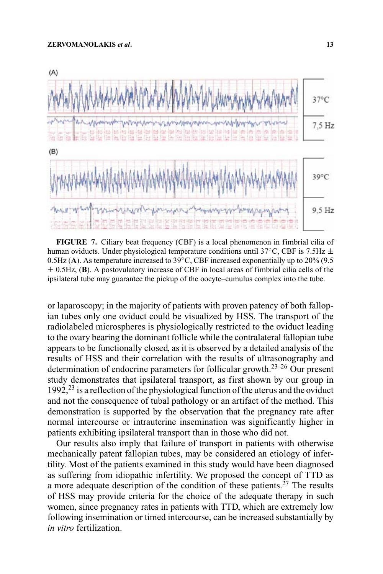

**FIGURE 7.** Ciliary beat frequency (CBF) is a local phenomenon in fimbrial cilia of human oviducts. Under physiological temperature conditions until 37°C, CBF is 7.5Hz  $\pm$ 0.5Hz (**A**). As temperature increased to 39◦C, CBF increased exponentially up to 20% (9.5  $\pm$  0.5Hz, (**B**). A postovulatory increase of CBF in local areas of fimbrial cilia cells of the ipsilateral tube may guarantee the pickup of the oocyte–cumulus complex into the tube.

or laparoscopy; in the majority of patients with proven patency of both fallopian tubes only one oviduct could be visualized by HSS. The transport of the radiolabeled microspheres is physiologically restricted to the oviduct leading to the ovary bearing the dominant follicle while the contralateral fallopian tube appears to be functionally closed, as it is observed by a detailed analysis of the results of HSS and their correlation with the results of ultrasonography and determination of endocrine parameters for follicular growth.23–26 Our present study demonstrates that ipsilateral transport, as first shown by our group in  $1992<sup>23</sup>$  is a reflection of the physiological function of the uterus and the oviduct and not the consequence of tubal pathology or an artifact of the method. This demonstration is supported by the observation that the pregnancy rate after normal intercourse or intrauterine insemination was significantly higher in patients exhibiting ipsilateral transport than in those who did not.

Our results also imply that failure of transport in patients with otherwise mechanically patent fallopian tubes, may be considered an etiology of infertility. Most of the patients examined in this study would have been diagnosed as suffering from idiopathic infertility. We proposed the concept of TTD as a more adequate description of the condition of these patients.<sup> $27$ </sup> The results of HSS may provide criteria for the choice of the adequate therapy in such women, since pregnancy rates in patients with TTD, which are extremely low following insemination or timed intercourse, can be increased substantially by *in vitro* fertilization.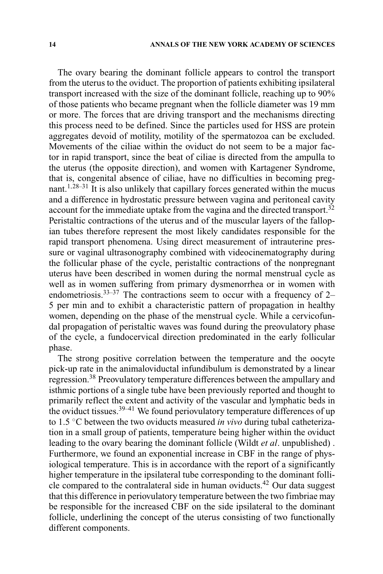The ovary bearing the dominant follicle appears to control the transport from the uterus to the oviduct. The proportion of patients exhibiting ipsilateral transport increased with the size of the dominant follicle, reaching up to 90% of those patients who became pregnant when the follicle diameter was 19 mm or more. The forces that are driving transport and the mechanisms directing this process need to be defined. Since the particles used for HSS are protein aggregates devoid of motility, motility of the spermatozoa can be excluded. Movements of the ciliae within the oviduct do not seem to be a major factor in rapid transport, since the beat of ciliae is directed from the ampulla to the uterus (the opposite direction), and women with Kartagener Syndrome, that is, congenital absence of ciliae, have no difficulties in becoming pregnant.<sup>1,28–31</sup> It is also unlikely that capillary forces generated within the mucus and a difference in hydrostatic pressure between vagina and peritoneal cavity account for the immediate uptake from the vagina and the directed transport.<sup>32</sup> Peristaltic contractions of the uterus and of the muscular layers of the fallopian tubes therefore represent the most likely candidates responsible for the rapid transport phenomena. Using direct measurement of intrauterine pressure or vaginal ultrasonography combined with videocinematography during the follicular phase of the cycle, peristaltic contractions of the nonpregnant uterus have been described in women during the normal menstrual cycle as well as in women suffering from primary dysmenorrhea or in women with endometriosis.<sup>33–37</sup> The contractions seem to occur with a frequency of 2– 5 per min and to exhibit a characteristic pattern of propagation in healthy women, depending on the phase of the menstrual cycle. While a cervicofundal propagation of peristaltic waves was found during the preovulatory phase of the cycle, a fundocervical direction predominated in the early follicular phase.

The strong positive correlation between the temperature and the oocyte pick-up rate in the animaloviductal infundibulum is demonstrated by a linear regression.38 Preovulatory temperature differences between the ampullary and isthmic portions of a single tube have been previously reported and thought to primarily reflect the extent and activity of the vascular and lymphatic beds in the oviduct tissues.39–41 We found periovulatory temperature differences of up to 1.5 ◦C between the two oviducts measured *in vivo* during tubal catheterization in a small group of patients, temperature being higher within the oviduct leading to the ovary bearing the dominant follicle (Wildt *et al*. unpublished) . Furthermore, we found an exponential increase in CBF in the range of physiological temperature. This is in accordance with the report of a significantly higher temperature in the ipsilateral tube corresponding to the dominant follicle compared to the contralateral side in human oviducts.<sup>42</sup> Our data suggest that this difference in periovulatory temperature between the two fimbriae may be responsible for the increased CBF on the side ipsilateral to the dominant follicle, underlining the concept of the uterus consisting of two functionally different components.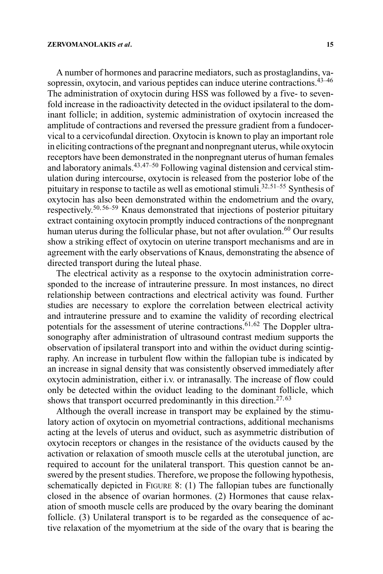#### **ZERVOMANOLAKIS** *et al***. 15**

A number of hormones and paracrine mediators, such as prostaglandins, vasopressin, oxytocin, and various peptides can induce uterine contractions.<sup>43-46</sup> The administration of oxytocin during HSS was followed by a five- to sevenfold increase in the radioactivity detected in the oviduct ipsilateral to the dominant follicle; in addition, systemic administration of oxytocin increased the amplitude of contractions and reversed the pressure gradient from a fundocervical to a cervicofundal direction. Oxytocin is known to play an important role in eliciting contractions of the pregnant and nonpregnant uterus, while oxytocin receptors have been demonstrated in the nonpregnant uterus of human females and laboratory animals. $43,47-50$  Following vaginal distension and cervical stimulation during intercourse, oxytocin is released from the posterior lobe of the pituitary in response to tactile as well as emotional stimuli.<sup>32,51–55</sup> Synthesis of oxytocin has also been demonstrated within the endometrium and the ovary, respectively.<sup>50</sup>,56–59 Knaus demonstrated that injections of posterior pituitary extract containing oxytocin promptly induced contractions of the nonpregnant human uterus during the follicular phase, but not after ovulation.<sup>60</sup> Our results show a striking effect of oxytocin on uterine transport mechanisms and are in agreement with the early observations of Knaus, demonstrating the absence of directed transport during the luteal phase.

The electrical activity as a response to the oxytocin administration corresponded to the increase of intrauterine pressure. In most instances, no direct relationship between contractions and electrical activity was found. Further studies are necessary to explore the correlation between electrical activity and intrauterine pressure and to examine the validity of recording electrical potentials for the assessment of uterine contractions.<sup>61,62</sup> The Doppler ultrasonography after administration of ultrasound contrast medium supports the observation of ipsilateral transport into and within the oviduct during scintigraphy. An increase in turbulent flow within the fallopian tube is indicated by an increase in signal density that was consistently observed immediately after oxytocin administration, either i.v. or intranasally. The increase of flow could only be detected within the oviduct leading to the dominant follicle, which shows that transport occurred predominantly in this direction.<sup>27,63</sup>

Although the overall increase in transport may be explained by the stimulatory action of oxytocin on myometrial contractions, additional mechanisms acting at the levels of uterus and oviduct, such as asymmetric distribution of oxytocin receptors or changes in the resistance of the oviducts caused by the activation or relaxation of smooth muscle cells at the uterotubal junction, are required to account for the unilateral transport. This question cannot be answered by the present studies. Therefore, we propose the following hypothesis, schematically depicted in FIGURE 8: (1) The fallopian tubes are functionally closed in the absence of ovarian hormones. (2) Hormones that cause relaxation of smooth muscle cells are produced by the ovary bearing the dominant follicle. (3) Unilateral transport is to be regarded as the consequence of active relaxation of the myometrium at the side of the ovary that is bearing the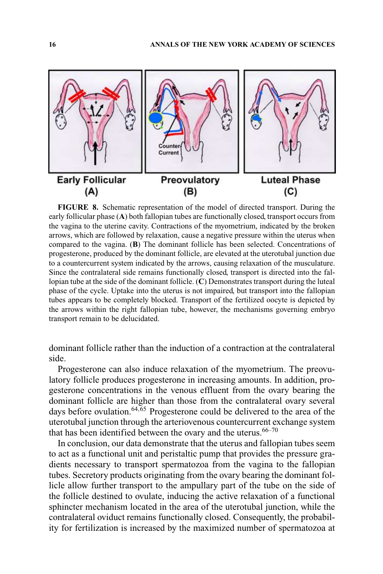

**FIGURE 8.** Schematic representation of the model of directed transport. During the early follicular phase (**A**) both fallopian tubes are functionally closed, transport occurs from the vagina to the uterine cavity. Contractions of the myometrium, indicated by the broken arrows, which are followed by relaxation, cause a negative pressure within the uterus when compared to the vagina. (**B**) The dominant follicle has been selected. Concentrations of progesterone, produced by the dominant follicle, are elevated at the uterotubal junction due to a countercurrent system indicated by the arrows, causing relaxation of the musculature. Since the contralateral side remains functionally closed, transport is directed into the fallopian tube at the side of the dominant follicle. (**C**) Demonstrates transport during the luteal phase of the cycle. Uptake into the uterus is not impaired, but transport into the fallopian tubes appears to be completely blocked. Transport of the fertilized oocyte is depicted by the arrows within the right fallopian tube, however, the mechanisms governing embryo transport remain to be delucidated.

dominant follicle rather than the induction of a contraction at the contralateral side.

Progesterone can also induce relaxation of the myometrium. The preovulatory follicle produces progesterone in increasing amounts. In addition, progesterone concentrations in the venous effluent from the ovary bearing the dominant follicle are higher than those from the contralateral ovary several days before ovulation.<sup>64</sup>,<sup>65</sup> Progesterone could be delivered to the area of the uterotubal junction through the arteriovenous countercurrent exchange system that has been identified between the ovary and the uterus.  $66-70$ 

In conclusion, our data demonstrate that the uterus and fallopian tubes seem to act as a functional unit and peristaltic pump that provides the pressure gradients necessary to transport spermatozoa from the vagina to the fallopian tubes. Secretory products originating from the ovary bearing the dominant follicle allow further transport to the ampullary part of the tube on the side of the follicle destined to ovulate, inducing the active relaxation of a functional sphincter mechanism located in the area of the uterotubal junction, while the contralateral oviduct remains functionally closed. Consequently, the probability for fertilization is increased by the maximized number of spermatozoa at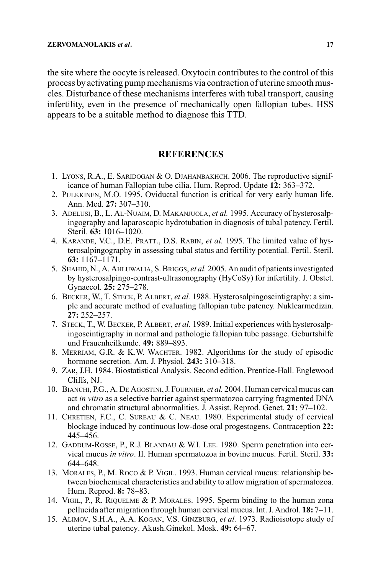the site where the oocyte is released. Oxytocin contributes to the control of this process by activating pump mechanisms via contraction of uterine smooth muscles. Disturbance of these mechanisms interferes with tubal transport, causing infertility, even in the presence of mechanically open fallopian tubes. HSS appears to be a suitable method to diagnose this TTD.

# **REFERENCES**

- 1. LYONS, R.A., E. SARIDOGAN & O. DJAHANBAKHCH. 2006. The reproductive significance of human Fallopian tube cilia. Hum. Reprod. Update **12:** 363**–**372.
- 2. PULKKINEN, M.O. 1995. Oviductal function is critical for very early human life. Ann. Med. **27:** 307**–**310.
- 3. ADELUSI, B., L. AL-NUAIM, D. MAKANJUOLA, *et al.* 1995. Accuracy of hysterosalpingography and laparoscopic hydrotubation in diagnosis of tubal patency. Fertil. Steril. **63:** 1016**–**1020.
- 4. KARANDE, V.C., D.E. PRATT., D.S. RABIN, *et al.* 1995. The limited value of hysterosalpingography in assessing tubal status and fertility potential. Fertil. Steril. **63:** 1167**–**1171.
- 5. SHAHID, N., A. AHLUWALIA, S. BRIGGS, *et al.* 2005. An audit of patients investigated by hysterosalpingo-contrast-ultrasonography (HyCoSy) for infertility. J. Obstet. Gynaecol. **25:** 275**–**278.
- 6. BECKER, W., T. STECK, P. ALBERT, *et al.* 1988. Hysterosalpingoscintigraphy: a simple and accurate method of evaluating fallopian tube patency. Nuklearmedizin. **27:** 252**–**257.
- 7. STECK, T., W. BECKER, P. ALBERT, *et al.* 1989. Initial experiences with hysterosalpingoscintigraphy in normal and pathologic fallopian tube passage. Geburtshilfe und Frauenheilkunde. **49:** 889**–**893.
- 8. MERRIAM, G.R. & K.W. WACHTER. 1982. Algorithms for the study of episodic hormone secretion. Am. J. Physiol. **243:** 310**–**318.
- 9. ZAR, J.H. 1984. Biostatistical Analysis. Second edition. Prentice-Hall. Englewood Cliffs, NJ.
- 10. BIANCHI, P.G., A. DE AGOSTINI, J. FOURNIER, *et al.* 2004. Human cervical mucus can act *in vitro* as a selective barrier against spermatozoa carrying fragmented DNA and chromatin structural abnormalities. J. Assist. Reprod. Genet. **21:** 97**–**102.
- 11. CHRETIEN, F.C., C. SUREAU & C. NEAU. 1980. Experimental study of cervical blockage induced by continuous low-dose oral progestogens. Contraception **22:** 445**–**456.
- 12. GADDUM-ROSSE, P., R.J. BLANDAU & W.I. LEE. 1980. Sperm penetration into cervical mucus *in vitro*. II. Human spermatozoa in bovine mucus. Fertil. Steril. **33:** 644**–**648.
- 13. MORALES, P., M. ROCO & P. VIGIL. 1993. Human cervical mucus: relationship between biochemical characteristics and ability to allow migration of spermatozoa. Hum. Reprod. **8:** 78**–**83.
- 14. VIGIL, P., R. RIQUELME & P. MORALES. 1995. Sperm binding to the human zona pellucida after migration through human cervical mucus. Int. J. Androl. **18:** 7**–**11.
- 15. ALIMOV, S.H.A., A.A. KOGAN, V.S. GINZBURG, *et al.* 1973. Radioisotope study of uterine tubal patency. Akush.Ginekol. Mosk. **49:** 64**–**67.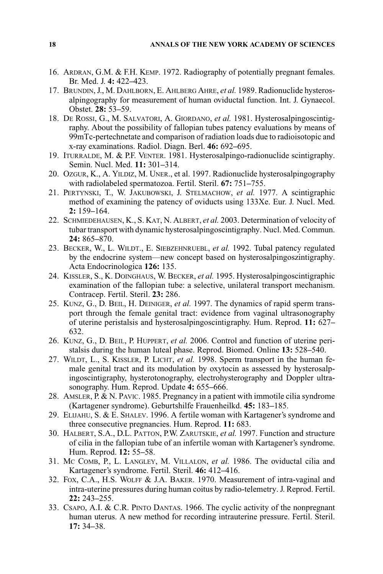- 16. ARDRAN, G.M. & F.H. KEMP. 1972. Radiography of potentially pregnant females. Br. Med. J. **4:** 422**–**423.
- 17. BRUNDIN, J., M. DAHLBORN, E. AHLBERG AHRE, *et al.* 1989. Radionuclide hysterosalpingography for measurement of human oviductal function. Int. J. Gynaecol. Obstet. **28:** 53**–**59.
- 18. DE ROSSI, G., M. SALVATORI, A. GIORDANO, *et al.* 1981. Hysterosalpingoscintigraphy. About the possibility of fallopian tubes patency evaluations by means of 99mTc-pertechnetate and comparison of radiation loads due to radioisotopic and x-ray examinations. Radiol. Diagn. Berl. **46:** 692**–**695.
- 19. ITURRALDE, M. & P.F. VENTER. 1981. Hysterosalpingo-radionuclide scintigraphy. Semin. Nucl. Med. **11:** 301**–**314.
- 20. OZGUR, K., A. YILDIZ, M. UNER., et al. 1997. Radionuclide hysterosalpingography with radiolabeled spermatozoa. Fertil. Steril. **67:** 751**–**755.
- 21. PERTYNSKI, T., W. JAKUBOWSKI, J. STELMACHOW, *et al.* 1977. A scintigraphic method of examining the patency of oviducts using 133Xe. Eur. J. Nucl. Med. **2:** 159**–**164.
- 22. SCHMIEDEHAUSEN, K., S. KAT, N. ALBERT, *et al.* 2003. Determination of velocity of tubar transport with dynamic hysterosalpingoscintigraphy. Nucl. Med. Commun. **24:** 865**–**870.
- 23. BECKER, W., L. WILDT., E. SIEBZEHNRUEBL, *et al.* 1992. Tubal patency regulated by the endocrine system—new concept based on hysterosalpingoszintigraphy. Acta Endocrinologica **126:** 135.
- 24. KISSLER, S., K. DOINGHAUS, W. BECKER, *et al.* 1995. Hysterosalpingoscintigraphic examination of the fallopian tube: a selective, unilateral transport mechanism. Contracep. Fertil. Steril. **23:** 286.
- 25. KUNZ, G., D. BEIL, H. DEINIGER, *et al.* 1997. The dynamics of rapid sperm transport through the female genital tract: evidence from vaginal ultrasonography of uterine peristalsis and hysterosalpingoscintigraphy. Hum. Reprod. **11:** 627**–** 632.
- 26. KUNZ, G., D. BEIL, P. HUPPERT, *et al.* 2006. Control and function of uterine peristalsis during the human luteal phase. Reprod. Biomed. Online **13:** 528**–**540.
- 27. WILDT, L., S. KISSLER, P. LICHT, *et al.* 1998. Sperm transport in the human female genital tract and its modulation by oxytocin as assessed by hysterosalpingoscintigraphy, hysterotonography, electrohysterography and Doppler ultrasonography. Hum. Reprod. Update **4:** 655**–**666.
- 28. AMSLER, P. & N. PAVIC. 1985. Pregnancy in a patient with immotile cilia syndrome (Kartagener syndrome). Geburtshilfe Frauenheilkd. **45:** 183**–**185.
- 29. ELIJAHU, S. & E. SHALEV. 1996. A fertile woman with Kartagener's syndrome and three consecutive pregnancies. Hum. Reprod. **11:** 683.
- 30. HALBERT, S.A., D.L. PATTON, P.W. ZARUTSKIE, *et al.* 1997. Function and structure of cilia in the fallopian tube of an infertile woman with Kartagener's syndrome. Hum. Reprod. **12:** 55**–**58.
- 31. MC COMB, P., L. LANGLEY, M. VILLALON, *et al.* 1986. The oviductal cilia and Kartagener's syndrome. Fertil. Steril. **46:** 412**–**416.
- 32. FOX, C.A., H.S. WOLFF & J.A. BAKER. 1970. Measurement of intra-vaginal and intra-uterine pressures during human coitus by radio-telemetry. J. Reprod. Fertil. **22:** 243**–**255.
- 33. CSAPO, A.I. & C.R. PINTO DANTAS. 1966. The cyclic activity of the nonpregnant human uterus. A new method for recording intrauterine pressure. Fertil. Steril. **17:** 34**–**38.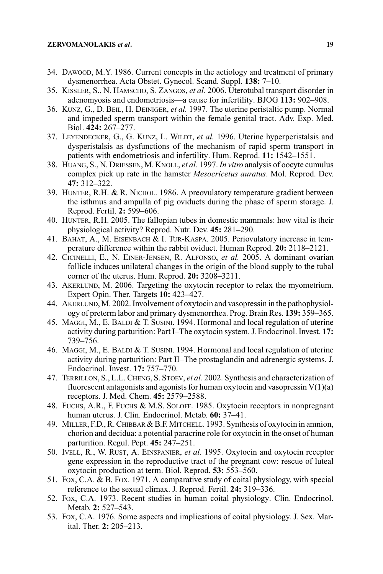- 34. DAWOOD, M.Y. 1986. Current concepts in the aetiology and treatment of primary dysmenorrhea. Acta Obstet. Gynecol. Scand. Suppl. **138:** 7**–**10.
- 35. KISSLER, S., N. HAMSCHO, S. ZANGOS, *et al.* 2006. Uterotubal transport disorder in adenomyosis and endometriosis—a cause for infertility. BJOG **113:** 902**–**908.
- 36. KUNZ, G., D. BEIL, H. DEINIGER, *et al.* 1997. The uterine peristaltic pump. Normal and impeded sperm transport within the female genital tract. Adv. Exp. Med. Biol. **424:** 267–277.
- 37. LEYENDECKER, G., G. KUNZ, L. WILDT, *et al.* 1996. Uterine hyperperistalsis and dysperistalsis as dysfunctions of the mechanism of rapid sperm transport in patients with endometriosis and infertility. Hum. Reprod. **11:** 1542**–**1551.
- 38. HUANG, S., N. DRIESSEN, M. KNOLL, *et al.* 1997. *In vitro* analysis of oocyte cumulus complex pick up rate in the hamster *Mesocricetus auratus*. Mol. Reprod. Dev. **47:** 312**–**322.
- 39. HUNTER, R.H. & R. NICHOL. 1986. A preovulatory temperature gradient between the isthmus and ampulla of pig oviducts during the phase of sperm storage. J. Reprod. Fertil. **2:** 599**–**606.
- 40. HUNTER, R.H. 2005. The fallopian tubes in domestic mammals: how vital is their physiological activity? Reprod. Nutr. Dev. **45:** 281**–**290.
- 41. BAHAT, A., M. EISENBACH & I. TUR-KASPA. 2005. Periovulatory increase in temperature difference within the rabbit oviduct. Human Reprod. **20:** 2118**–**2121.
- 42. CICINELLI, E., N. EINER-JENSEN, R. ALFONSO, *et al.* 2005. A dominant ovarian follicle induces unilateral changes in the origin of the blood supply to the tubal corner of the uterus. Hum. Reprod. **20:** 3208**–**3211.
- 43. AKERLUND, M. 2006. Targeting the oxytocin receptor to relax the myometrium. Expert Opin. Ther. Targets **10:** 423**–**427.
- 44. AKERLUND, M. 2002. Involvement of oxytocin and vasopressin in the pathophysiology of preterm labor and primary dysmenorrhea. Prog. Brain Res. **139:** 359**–**365.
- 45. MAGGI, M., E. BALDI & T. SUSINI. 1994. Hormonal and local regulation of uterine activity during parturition: Part I–The oxytocin system. J. Endocrinol. Invest. **17:** 739**–**756.
- 46. MAGGI, M., E. BALDI & T. SUSINI. 1994. Hormonal and local regulation of uterine activity during parturition: Part II–The prostaglandin and adrenergic systems. J. Endocrinol. Invest. **17:** 757**–**770.
- 47. TERRILLON, S., L.L. CHENG, S. STOEV, *et al.* 2002. Synthesis and characterization of fluorescent antagonists and agonists for human oxytocin and vasopressin  $V(1)(a)$ receptors. J. Med. Chem. **45:** 2579**–**2588.
- 48. FUCHS, A.R., F. FUCHS & M.S. SOLOFF. 1985. Oxytocin receptors in nonpregnant human uterus. J. Clin. Endocrinol. Metab. **60:** 37**–**41.
- 49. MILLER, F.D., R. CHIBBAR& B.F. MITCHELL. 1993. Synthesis of oxytocin in amnion, chorion and decidua: a potential paracrine role for oxytocin in the onset of human parturition. Regul. Pept. **45:** 247**–**251.
- 50. IVELL, R., W. RUST, A. EINSPANIER, *et al.* 1995. Oxytocin and oxytocin receptor gene expression in the reproductive tract of the pregnant cow: rescue of luteal oxytocin production at term. Biol. Reprod. **53:** 553**–**560.
- 51. FOX, C.A. & B. FOX. 1971. A comparative study of coital physiology, with special reference to the sexual climax. J. Reprod. Fertil. **24:** 319**–**336.
- 52. FOX, C.A. 1973. Recent studies in human coital physiology. Clin. Endocrinol. Metab. **2:** 527**–**543.
- 53. FOX, C.A. 1976. Some aspects and implications of coital physiology. J. Sex. Marital. Ther. **2:** 205**–**213.